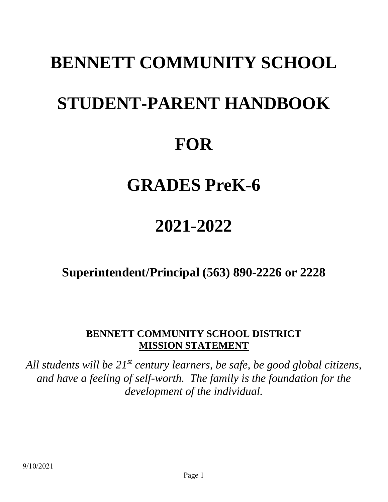# **BENNETT COMMUNITY SCHOOL STUDENT-PARENT HANDBOOK FOR**

# **GRADES PreK-6**

# **2021-2022**

**Superintendent/Principal (563) 890-2226 or 2228**

# **BENNETT COMMUNITY SCHOOL DISTRICT MISSION STATEMENT**

*All students will be 21st century learners, be safe, be good global citizens, and have a feeling of self-worth. The family is the foundation for the development of the individual.*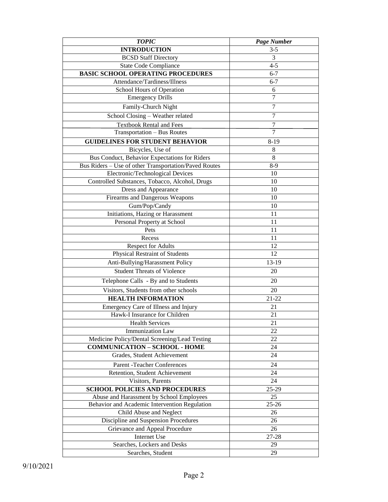| <b>TOPIC</b>                                          | Page Number    |  |
|-------------------------------------------------------|----------------|--|
| <b>INTRODUCTION</b>                                   | $3 - 5$        |  |
| <b>BCSD Staff Directory</b>                           | 3              |  |
| <b>State Code Compliance</b>                          | $4 - 5$        |  |
| <b>BASIC SCHOOL OPERATING PROCEDURES</b>              | $6 - 7$        |  |
| Attendance/Tardiness/Illness                          | $6 - 7$        |  |
| School Hours of Operation                             | 6              |  |
| <b>Emergency Drills</b>                               | $\overline{7}$ |  |
| Family-Church Night                                   | 7              |  |
| School Closing - Weather related                      | $\overline{7}$ |  |
| <b>Textbook Rental and Fees</b>                       | 7              |  |
| Transportation - Bus Routes                           | $\overline{7}$ |  |
| <b>GUIDELINES FOR STUDENT BEHAVIOR</b>                | $8-19$         |  |
| Bicycles, Use of                                      | 8              |  |
| Bus Conduct, Behavior Expectations for Riders         | 8              |  |
| Bus Riders - Use of other Transportation/Paved Routes | $8-9$          |  |
| Electronic/Technological Devices                      | 10             |  |
| Controlled Substances, Tobacco, Alcohol, Drugs        | 10             |  |
| Dress and Appearance                                  | 10             |  |
| Firearms and Dangerous Weapons                        | 10             |  |
| Gum/Pop/Candy                                         | 10             |  |
| Initiations, Hazing or Harassment                     | 11             |  |
| Personal Property at School                           | 11             |  |
| Pets                                                  | 11             |  |
| Recess                                                | 11             |  |
| Respect for Adults                                    | 12             |  |
| Physical Restraint of Students                        | 12             |  |
| Anti-Bullying/Harassment Policy                       | 13-19          |  |
| <b>Student Threats of Violence</b>                    | 20             |  |
| Telephone Calls - By and to Students                  | 20             |  |
| Visitors, Students from other schools                 | 20             |  |
| <b>HEALTH INFORMATION</b>                             | $21 - 22$      |  |
| Emergency Care of Illness and Injury                  | 21             |  |
| Hawk-I Insurance for Children                         | 21             |  |
| <b>Health Services</b>                                | 21             |  |
| <b>Immunization Law</b>                               | 22             |  |
| Medicine Policy/Dental Screening/Lead Testing         | 22             |  |
| <b>COMMUNICATION - SCHOOL - HOME</b>                  | 24             |  |
| Grades, Student Achievement                           | 24             |  |
| Parent - Teacher Conferences                          | 24             |  |
| Retention, Student Achievement                        | 24             |  |
| Visitors, Parents<br>24                               |                |  |
| <b>SCHOOL POLICIES AND PROCEDURES</b>                 | 25-29          |  |
| Abuse and Harassment by School Employees              | 25             |  |
| Behavior and Academic Intervention Regulation         | $25 - 26$      |  |
| Child Abuse and Neglect                               | 26             |  |
| Discipline and Suspension Procedures                  | 26             |  |
| Grievance and Appeal Procedure                        | 26             |  |
| Internet Use                                          | 27-28          |  |
| Searches, Lockers and Desks                           | 29             |  |
| Searches, Student                                     | 29             |  |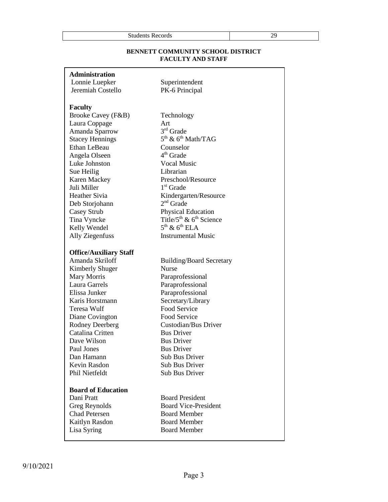| -<br>__ | Students<br><b>Records</b> | π. |
|---------|----------------------------|----|
|---------|----------------------------|----|

# **BENNETT COMMUNITY SCHOOL DISTRICT FACULTY AND STAFF**

| <b>Administration</b> |  |  |
|-----------------------|--|--|
|                       |  |  |

Lonnie Luepker Superintendent Jeremiah Costello PK-6 Principal

# **Faculty**

Brooke Cavey (F&B) Technology Laura Coppage Art Amanda Sparrow 3 **Stacey Hennings** Ethan LeBeau Counselor Angela Olseen 4 Luke Johnston Vocal Music Sue Heilig Librarian Karen Mackey Preschool/Resource Juli Miller 1 Deb Storjohann Casey Strub Physical Education Kelly Wendel Ally Ziegenfuss **Instrumental Music** 

# **Office/Auxiliary Staff**

Kimberly Shuger Nurse Mary Morris Paraprofessional Laura Garrels Paraprofessional Elissa Junker Paraprofessional Karis Horstmann Secretary/Library Teresa Wulf Food Service Diane Covington Food Service Catalina Critten Bus Driver Dave Wilson Bus Driver Paul Jones Bus Driver Dan Hamann Sub Bus Driver Kevin Rasdon Sub Bus Driver Phil Nietfeldt Sub Bus Driver

# **Board of Education**

Chad Petersen Board Member Kaitlyn Rasdon Board Member Lisa Syring Board Member

3rd Grade  $5<sup>th</sup>$  &  $6<sup>th</sup>$  Math/TAG  $4<sup>th</sup>$  Grade  $1<sup>st</sup>$  Grade Heather Sivia Kindergarten/Resource  $2<sup>nd</sup>$  Grade Tina Vyncke Title/ $5<sup>th</sup>$  &  $6<sup>th</sup>$  Science  $5<sup>th</sup>$  &  $6<sup>th</sup>$  ELA

Amanda Skriloff Building/Board Secretary Rodney Deerberg Custodian/Bus Driver

Dani Pratt Board President Greg Reynolds Board Vice-President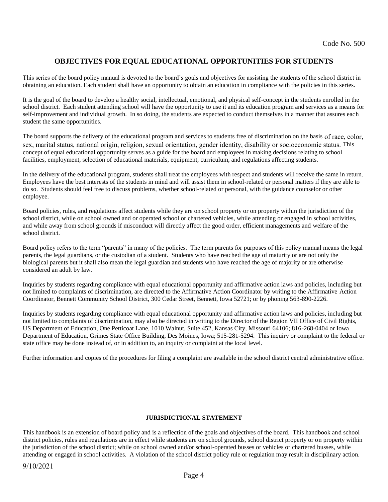# **OBJECTIVES FOR EQUAL EDUCATIONAL OPPORTUNITIES FOR STUDENTS**

This series of the board policy manual is devoted to the board's goals and objectives for assisting the students of the school district in obtaining an education. Each student shall have an opportunity to obtain an education in compliance with the policies in this series.

It is the goal of the board to develop a healthy social, intellectual, emotional, and physical self-concept in the students enrolled in the school district. Each student attending school will have the opportunity to use it and its education program and services as a means for self-improvement and individual growth. In so doing, the students are expected to conduct themselves in a manner that assures each student the same opportunities.

The board supports the delivery of the educational program and services to students free of discrimination on the basis of race, color, sex, marital status, national origin, religion, sexual orientation, gender identity, disability or socioeconomic status. This concept of equal educational opportunity serves as a guide for the board and employees in making decisions relating to school facilities, employment, selection of educational materials, equipment, curriculum, and regulations affecting students.

In the delivery of the educational program, students shall treat the employees with respect and students will receive the same in return. Employees have the best interests of the students in mind and will assist them in school-related or personal matters if they are able to do so. Students should feel free to discuss problems, whether school-related or personal, with the guidance counselor or other employee.

Board policies, rules, and regulations affect students while they are on school property or on property within the jurisdiction of the school district, while on school owned and or operated school or chartered vehicles, while attending or engaged in school activities, and while away from school grounds if misconduct will directly affect the good order, efficient managements and welfare of the school district.

Board policy refers to the term "parents" in many of the policies. The term parents for purposes of this policy manual means the legal parents, the legal guardians, or the custodian of a student. Students who have reached the age of maturity or are not only the biological parents but it shall also mean the legal guardian and students who have reached the age of majority or are otherwise considered an adult by law.

Inquiries by students regarding compliance with equal educational opportunity and affirmative action laws and policies, including but not limited to complaints of discrimination, are directed to the Affirmative Action Coordinator by writing to the Affirmative Action Coordinator, Bennett Community School District, 300 Cedar Street, Bennett, Iowa 52721; or by phoning 563-890-2226.

Inquiries by students regarding compliance with equal educational opportunity and affirmative action laws and policies, including but not limited to complaints of discrimination, may also be directed in writing to the Director of the Region VII Office of Civil Rights, US Department of Education, One Petticoat Lane, 1010 Walnut, Suite 452, Kansas City, Missouri 64106; 816-268-0404 or Iowa Department of Education, Grimes State Office Building, Des Moines, Iowa; 515-281-5294. This inquiry or complaint to the federal or state office may be done instead of, or in addition to, an inquiry or complaint at the local level.

Further information and copies of the procedures for filing a complaint are available in the school district central administrative office.

# **JURISDICTIONAL STATEMENT**

This handbook is an extension of board policy and is a reflection of the goals and objectives of the board. This handbook and school district policies, rules and regulations are in effect while students are on school grounds, school district property or on property within the jurisdiction of the school district; while on school owned and/or school-operated busses or vehicles or chartered busses, while attending or engaged in school activities. A violation of the school district policy rule or regulation may result in disciplinary action.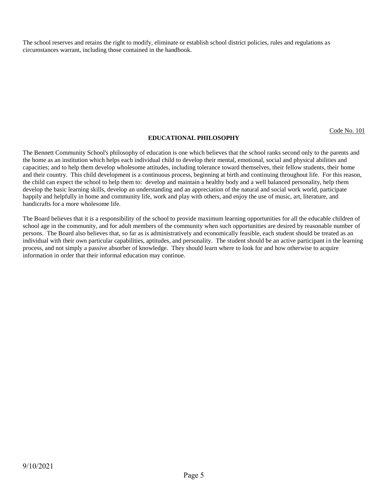The school reserves and retains the right to modify, eliminate or establish school district policies, rules and regulations as circumstances warrant, including those contained in the handbook.

Code No. 101

# **EDUCATIONAL PHILOSOPHY**

The Bennett Community School's philosophy of education is one which believes that the school ranks second only to the parents and the home as an institution which helps each individual child to develop their mental, emotional, social and physical abilities and capacities; and to help them develop wholesome attitudes, including tolerance toward themselves, their fellow students, their home and their country. This child development is a continuous process, beginning at birth and continuing throughout life. For this reason, the child can expect the school to help them to: develop and maintain a healthy body and a well balanced personality, help them develop the basic learning skills, develop an understanding and an appreciation of the natural and social work world, participate happily and helpfully in home and community life, work and play with others, and enjoy the use of music, art, literature, and handicrafts for a more wholesome life.

The Board believes that it is a responsibility of the school to provide maximum learning opportunities for all the educable children of school age in the community, and for adult members of the community when such opportunities are desired by reasonable number of persons. The Board also believes that, so far as is administratively and economically feasible, each student should be treated as an individual with their own particular capabilities, aptitudes, and personality. The student should be an active participant in the learning process, and not simply a passive absorber of knowledge. They should learn where to look for and how otherwise to acquire information in order that their informal education may continue.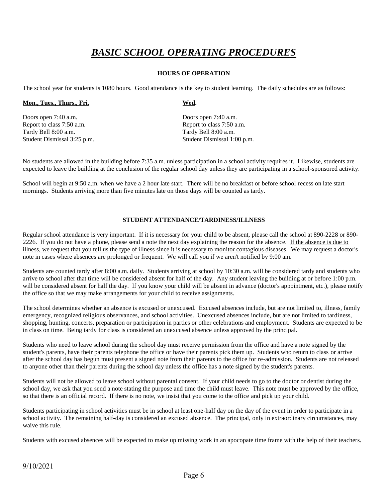# *BASIC SCHOOL OPERATING PROCEDURES*

# **HOURS OF OPERATION**

The school year for students is 1080 hours. Good attendance is the key to student learning. The daily schedules are as follows:

# Mon., Tues., Thurs., Fri. Wed.

Doors open 7:40 a.m. Doors open 7:40 a.m. Report to class 7:50 a.m. Report to class 7:50 a.m. Tardy Bell 8:00 a.m. Tardy Bell 8:00 a.m.

Student Dismissal 3:25 p.m. Student Dismissal 1:00 p.m.

No students are allowed in the building before 7:35 a.m. unless participation in a school activity requires it. Likewise, students are expected to leave the building at the conclusion of the regular school day unless they are participating in a school-sponsored activity.

School will begin at 9:50 a.m. when we have a 2 hour late start. There will be no breakfast or before school recess on late start mornings. Students arriving more than five minutes late on those days will be counted as tardy.

# **STUDENT ATTENDANCE/TARDINESS/ILLNESS**

Regular school attendance is very important. If it is necessary for your child to be absent, please call the school at 890-2228 or 890- 2226. If you do not have a phone, please send a note the next day explaining the reason for the absence. If the absence is due to illness, we request that you tell us the type of illness since it is necessary to monitor contagious diseases. We may request a doctor's note in cases where absences are prolonged or frequent. We will call you if we aren't notified by 9:00 am.

Students are counted tardy after 8:00 a.m. daily. Students arriving at school by 10:30 a.m. will be considered tardy and students who arrive to school after that time will be considered absent for half of the day. Any student leaving the building at or before 1:00 p.m. will be considered absent for half the day. If you know your child will be absent in advance (doctor's appointment, etc.), please notify the office so that we may make arrangements for your child to receive assignments.

The school determines whether an absence is excused or unexcused. Excused absences include, but are not limited to, illness, family emergency, recognized religious observances, and school activities. Unexcused absences include, but are not limited to tardiness, shopping, hunting, concerts, preparation or participation in parties or other celebrations and employment. Students are expected to be in class on time. Being tardy for class is considered an unexcused absence unless approved by the principal.

Students who need to leave school during the school day must receive permission from the office and have a note signed by the student's parents, have their parents telephone the office or have their parents pick them up. Students who return to class or arrive after the school day has begun must present a signed note from their parents to the office for re-admission. Students are not released to anyone other than their parents during the school day unless the office has a note signed by the student's parents.

Students will not be allowed to leave school without parental consent. If your child needs to go to the doctor or dentist during the school day, we ask that you send a note stating the purpose and time the child must leave. This note must be approved by the office, so that there is an official record. If there is no note, we insist that you come to the office and pick up your child.

Students participating in school activities must be in school at least one-half day on the day of the event in order to participate in a school activity. The remaining half-day is considered an excused absence. The principal, only in extraordinary circumstances, may waive this rule.

Students with excused absences will be expected to make up missing work in an apocopate time frame with the help of their teachers.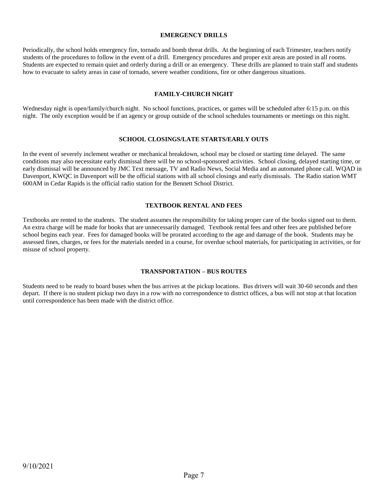# **EMERGENCY DRILLS**

Periodically, the school holds emergency fire, tornado and bomb threat drills. At the beginning of each Trimester, teachers notify students of the procedures to follow in the event of a drill. Emergency procedures and proper exit areas are posted in all rooms. Students are expected to remain quiet and orderly during a drill or an emergency. These drills are planned to train staff and students how to evacuate to safety areas in case of tornado, severe weather conditions, fire or other dangerous situations.

# **FAMILY-CHURCH NIGHT**

Wednesday night is open/family/church night. No school functions, practices, or games will be scheduled after 6:15 p.m. on this night. The only exception would be if an agency or group outside of the school schedules tournaments or meetings on this night.

# **SCHOOL CLOSINGS/LATE STARTS/EARLY OUTS**

In the event of severely inclement weather or mechanical breakdown, school may be closed or starting time delayed. The same conditions may also necessitate early dismissal there will be no school-sponsored activities. School closing, delayed starting time, or early dismissal will be announced by JMC Text message, TV and Radio News, Social Media and an automated phone call. WQAD in Davenport, KWQC in Davenport will be the official stations with all school closings and early dismissals. The Radio station WMT 600AM in Cedar Rapids is the official radio station for the Bennett School District.

# **TEXTBOOK RENTAL AND FEES**

Textbooks are rented to the students. The student assumes the responsibility for taking proper care of the books signed out to them. An extra charge will be made for books that are unnecessarily damaged. Textbook rental fees and other fees are published before school begins each year. Fees for damaged books will be prorated according to the age and damage of the book. Students may be assessed fines, charges, or fees for the materials needed in a course, for overdue school materials, for participating in activities, or for misuse of school property.

# **TRANSPORTATION – BUS ROUTES**

Students need to be ready to board buses when the bus arrives at the pickup locations. Bus drivers will wait 30-60 seconds and then depart. If there is no student pickup two days in a row with no correspondence to district offices, a bus will not stop at that location until correspondence has been made with the district office.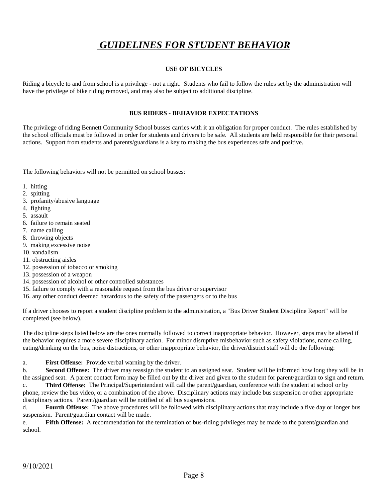# *GUIDELINES FOR STUDENT BEHAVIOR*

# **USE OF BICYCLES**

Riding a bicycle to and from school is a privilege - not a right. Students who fail to follow the rules set by the administration will have the privilege of bike riding removed, and may also be subject to additional discipline.

# **BUS RIDERS - BEHAVIOR EXPECTATIONS**

The privilege of riding Bennett Community School busses carries with it an obligation for proper conduct. The rules established by the school officials must be followed in order for students and drivers to be safe. All students are held responsible for their personal actions. Support from students and parents/guardians is a key to making the bus experiences safe and positive.

The following behaviors will not be permitted on school busses:

- 1. hitting
- 2. spitting
- 3. profanity/abusive language
- 4. fighting
- 5. assault
- 6. failure to remain seated
- 7. name calling
- 8. throwing objects
- 9. making excessive noise
- 10. vandalism
- 11. obstructing aisles
- 12. possession of tobacco or smoking
- 13. possession of a weapon
- 14. possession of alcohol or other controlled substances
- 15. failure to comply with a reasonable request from the bus driver or supervisor
- 16. any other conduct deemed hazardous to the safety of the passengers or to the bus

If a driver chooses to report a student discipline problem to the administration, a "Bus Driver Student Discipline Report" will be completed (see below).

The discipline steps listed below are the ones normally followed to correct inappropriate behavior. However, steps may be altered if the behavior requires a more severe disciplinary action. For minor disruptive misbehavior such as safety violations, name calling, eating/drinking on the bus, noise distractions, or other inappropriate behavior, the driver/district staff will do the following:

a. **First Offense:** Provide verbal warning by the driver.

b. **Second Offense:** The driver may reassign the student to an assigned seat. Student will be informed how long they will be in the assigned seat. A parent contact form may be filled out by the driver and given to the student for parent/guardian to sign and return.

c. **Third Offense:** The Principal/Superintendent will call the parent/guardian, conference with the student at school or by phone, review the bus video, or a combination of the above. Disciplinary actions may include bus suspension or other appropriate disciplinary actions. Parent/guardian will be notified of all bus suspensions.

d. **Fourth Offense:** The above procedures will be followed with disciplinary actions that may include a five day or longer bus suspension. Parent/guardian contact will be made.

e. **Fifth Offense:** A recommendation for the termination of bus-riding privileges may be made to the parent/guardian and school.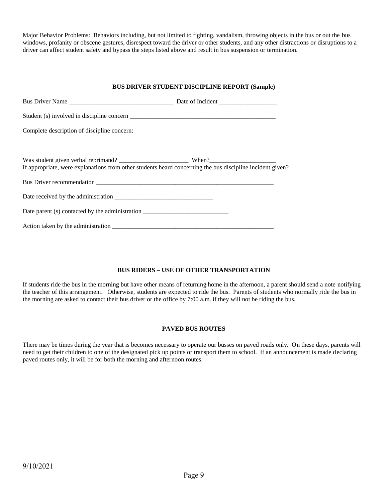Major Behavior Problems: Behaviors including, but not limited to fighting, vandalism, throwing objects in the bus or out the bus windows, profanity or obscene gestures, disrespect toward the driver or other students, and any other distractions or disruptions to a driver can affect student safety and bypass the steps listed above and result in bus suspension or termination.

# **BUS DRIVER STUDENT DISCIPLINE REPORT (Sample)**

| Complete description of discipline concern:                                                               |  |
|-----------------------------------------------------------------------------------------------------------|--|
|                                                                                                           |  |
| If appropriate, were explanations from other students heard concerning the bus discipline incident given? |  |
|                                                                                                           |  |
|                                                                                                           |  |
|                                                                                                           |  |
|                                                                                                           |  |

# **BUS RIDERS – USE OF OTHER TRANSPORTATION**

If students ride the bus in the morning but have other means of returning home in the afternoon, a parent should send a note notifying the teacher of this arrangement. Otherwise, students are expected to ride the bus. Parents of students who normally ride the bus in the morning are asked to contact their bus driver or the office by 7:00 a.m. if they will not be riding the bus.

# **PAVED BUS ROUTES**

There may be times during the year that is becomes necessary to operate our busses on paved roads only. On these days, parents will need to get their children to one of the designated pick up points or transport them to school. If an announcement is made declaring paved routes only, it will be for both the morning and afternoon routes.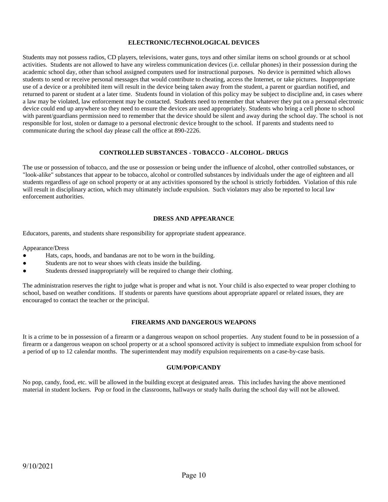# **ELECTRONIC/TECHNOLOGICAL DEVICES**

Students may not possess radios, CD players, televisions, water guns, toys and other similar items on school grounds or at school activities. Students are not allowed to have any wireless communication devices (i.e. cellular phones) in their possession during the academic school day, other than school assigned computers used for instructional purposes. No device is permitted which allows students to send or receive personal messages that would contribute to cheating, access the Internet, or take pictures. Inappropriate use of a device or a prohibited item will result in the device being taken away from the student, a parent or guardian notified, and returned to parent or student at a later time. Students found in violation of this policy may be subject to discipline and, in cases where a law may be violated, law enforcement may be contacted. Students need to remember that whatever they put on a personal electronic device could end up anywhere so they need to ensure the devices are used appropriately. Students who bring a cell phone to school with parent/guardians permission need to remember that the device should be silent and away during the school day. The school is not responsible for lost, stolen or damage to a personal electronic device brought to the school. If parents and students need to communicate during the school day please call the office at 890-2226.

# **CONTROLLED SUBSTANCES - TOBACCO - ALCOHOL- DRUGS**

The use or possession of tobacco, and the use or possession or being under the influence of alcohol, other controlled substances, or "look-alike" substances that appear to be tobacco, alcohol or controlled substances by individuals under the age of eighteen and all students regardless of age on school property or at any activities sponsored by the school is strictly forbidden. Violation of this rule will result in disciplinary action, which may ultimately include expulsion. Such violators may also be reported to local law enforcement authorities.

# **DRESS AND APPEARANCE**

Educators, parents, and students share responsibility for appropriate student appearance.

# Appearance/Dress

- Hats, caps, hoods, and bandanas are not to be worn in the building.
- Students are not to wear shoes with cleats inside the building.
- Students dressed inappropriately will be required to change their clothing.

The administration reserves the right to judge what is proper and what is not. Your child is also expected to wear proper clothing to school, based on weather conditions. If students or parents have questions about appropriate apparel or related issues, they are encouraged to contact the teacher or the principal.

# **FIREARMS AND DANGEROUS WEAPONS**

It is a crime to be in possession of a firearm or a dangerous weapon on school properties. Any student found to be in possession of a firearm or a dangerous weapon on school property or at a school sponsored activity is subject to immediate expulsion from school for a period of up to 12 calendar months. The superintendent may modify expulsion requirements on a case-by-case basis.

# **GUM/POP/CANDY**

No pop, candy, food, etc. will be allowed in the building except at designated areas. This includes having the above mentioned material in student lockers. Pop or food in the classrooms, hallways or study halls during the school day will not be allowed.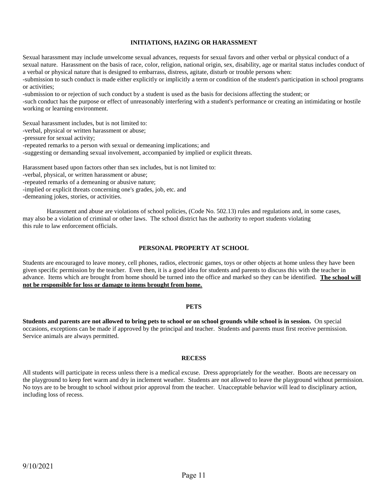# **INITIATIONS, HAZING OR HARASSMENT**

Sexual harassment may include unwelcome sexual advances, requests for sexual favors and other verbal or physical conduct of a sexual nature. Harassment on the basis of race, color, religion, national origin, sex, disability, age or marital status includes conduct of a verbal or physical nature that is designed to embarrass, distress, agitate, disturb or trouble persons when: -submission to such conduct is made either explicitly or implicitly a term or condition of the student's participation in school programs

or activities;

-submission to or rejection of such conduct by a student is used as the basis for decisions affecting the student; or

-such conduct has the purpose or effect of unreasonably interfering with a student's performance or creating an intimidating or hostile working or learning environment.

Sexual harassment includes, but is not limited to: -verbal, physical or written harassment or abuse; -pressure for sexual activity; -repeated remarks to a person with sexual or demeaning implications; and -suggesting or demanding sexual involvement, accompanied by implied or explicit threats.

Harassment based upon factors other than sex includes, but is not limited to: -verbal, physical, or written harassment or abuse; -repeated remarks of a demeaning or abusive nature; -implied or explicit threats concerning one's grades, job, etc. and

-demeaning jokes, stories, or activities.

Harassment and abuse are violations of school policies, (Code No. 502.13) rules and regulations and, in some cases, may also be a violation of criminal or other laws. The school district has the authority to report students violating this rule to law enforcement officials.

# **PERSONAL PROPERTY AT SCHOOL**

Students are encouraged to leave money, cell phones, radios, electronic games, toys or other objects at home unless they have been given specific permission by the teacher. Even then, it is a good idea for students and parents to discuss this with the teacher in advance. Items which are brought from home should be turned into the office and marked so they can be identified. **The school will not be responsible for loss or damage to items brought from home.**

# **PETS**

**Students and parents are not allowed to bring pets to school or on school grounds while school is in session.** On special occasions, exceptions can be made if approved by the principal and teacher. Students and parents must first receive permission. Service animals are always permitted.

# **RECESS**

All students will participate in recess unless there is a medical excuse. Dress appropriately for the weather. Boots are necessary on the playground to keep feet warm and dry in inclement weather. Students are not allowed to leave the playground without permission. No toys are to be brought to school without prior approval from the teacher. Unacceptable behavior will lead to disciplinary action, including loss of recess.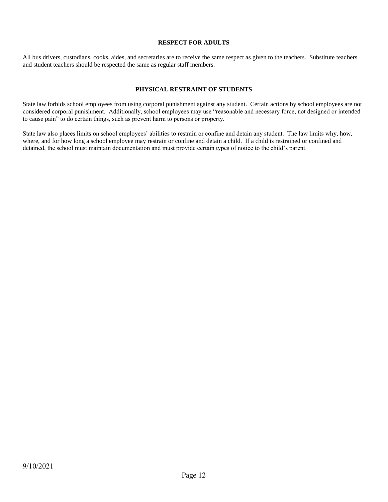# **RESPECT FOR ADULTS**

All bus drivers, custodians, cooks, aides, and secretaries are to receive the same respect as given to the teachers. Substitute teachers and student teachers should be respected the same as regular staff members.

# **PHYSICAL RESTRAINT OF STUDENTS**

State law forbids school employees from using corporal punishment against any student. Certain actions by school employees are not considered corporal punishment. Additionally, school employees may use "reasonable and necessary force, not designed or intended to cause pain" to do certain things, such as prevent harm to persons or property.

State law also places limits on school employees' abilities to restrain or confine and detain any student. The law limits why, how, where, and for how long a school employee may restrain or confine and detain a child. If a child is restrained or confined and detained, the school must maintain documentation and must provide certain types of notice to the child's parent.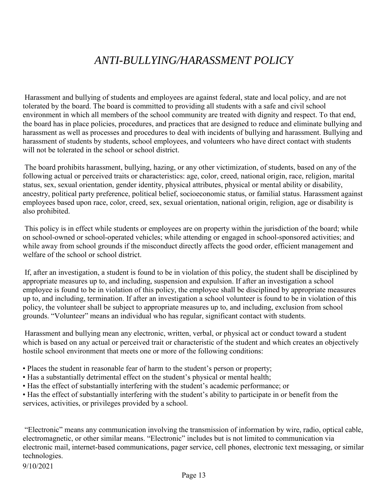# *ANTI-BULLYING/HARASSMENT POLICY*

Harassment and bullying of students and employees are against federal, state and local policy, and are not tolerated by the board. The board is committed to providing all students with a safe and civil school environment in which all members of the school community are treated with dignity and respect. To that end, the board has in place policies, procedures, and practices that are designed to reduce and eliminate bullying and harassment as well as processes and procedures to deal with incidents of bullying and harassment. Bullying and harassment of students by students, school employees, and volunteers who have direct contact with students will not be tolerated in the school or school district.

The board prohibits harassment, bullying, hazing, or any other victimization, of students, based on any of the following actual or perceived traits or characteristics: age, color, creed, national origin, race, religion, marital status, sex, sexual orientation, gender identity, physical attributes, physical or mental ability or disability, ancestry, political party preference, political belief, socioeconomic status, or familial status. Harassment against employees based upon race, color, creed, sex, sexual orientation, national origin, religion, age or disability is also prohibited.

This policy is in effect while students or employees are on property within the jurisdiction of the board; while on school-owned or school-operated vehicles; while attending or engaged in school-sponsored activities; and while away from school grounds if the misconduct directly affects the good order, efficient management and welfare of the school or school district.

If, after an investigation, a student is found to be in violation of this policy, the student shall be disciplined by appropriate measures up to, and including, suspension and expulsion. If after an investigation a school employee is found to be in violation of this policy, the employee shall be disciplined by appropriate measures up to, and including, termination. If after an investigation a school volunteer is found to be in violation of this policy, the volunteer shall be subject to appropriate measures up to, and including, exclusion from school grounds. "Volunteer" means an individual who has regular, significant contact with students.

Harassment and bullying mean any electronic, written, verbal, or physical act or conduct toward a student which is based on any actual or perceived trait or characteristic of the student and which creates an objectively hostile school environment that meets one or more of the following conditions:

- Places the student in reasonable fear of harm to the student's person or property;
- Has a substantially detrimental effect on the student's physical or mental health;
- Has the effect of substantially interfering with the student's academic performance; or

• Has the effect of substantially interfering with the student's ability to participate in or benefit from the services, activities, or privileges provided by a school.

"Electronic" means any communication involving the transmission of information by wire, radio, optical cable, electromagnetic, or other similar means. "Electronic" includes but is not limited to communication via electronic mail, internet-based communications, pager service, cell phones, electronic text messaging, or similar technologies.

9/10/2021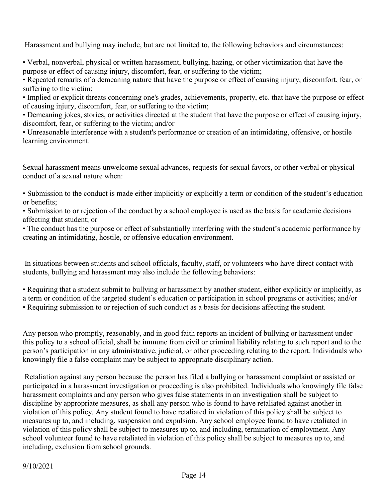Harassment and bullying may include, but are not limited to, the following behaviors and circumstances:

• Verbal, nonverbal, physical or written harassment, bullying, hazing, or other victimization that have the purpose or effect of causing injury, discomfort, fear, or suffering to the victim;

• Repeated remarks of a demeaning nature that have the purpose or effect of causing injury, discomfort, fear, or suffering to the victim;

• Implied or explicit threats concerning one's grades, achievements, property, etc. that have the purpose or effect of causing injury, discomfort, fear, or suffering to the victim;

• Demeaning jokes, stories, or activities directed at the student that have the purpose or effect of causing injury, discomfort, fear, or suffering to the victim; and/or

• Unreasonable interference with a student's performance or creation of an intimidating, offensive, or hostile learning environment.

Sexual harassment means unwelcome sexual advances, requests for sexual favors, or other verbal or physical conduct of a sexual nature when:

• Submission to the conduct is made either implicitly or explicitly a term or condition of the student's education or benefits;

• Submission to or rejection of the conduct by a school employee is used as the basis for academic decisions affecting that student; or

• The conduct has the purpose or effect of substantially interfering with the student's academic performance by creating an intimidating, hostile, or offensive education environment.

In situations between students and school officials, faculty, staff, or volunteers who have direct contact with students, bullying and harassment may also include the following behaviors:

• Requiring that a student submit to bullying or harassment by another student, either explicitly or implicitly, as a term or condition of the targeted student's education or participation in school programs or activities; and/or • Requiring submission to or rejection of such conduct as a basis for decisions affecting the student.

Any person who promptly, reasonably, and in good faith reports an incident of bullying or harassment under this policy to a school official, shall be immune from civil or criminal liability relating to such report and to the person's participation in any administrative, judicial, or other proceeding relating to the report. Individuals who knowingly file a false complaint may be subject to appropriate disciplinary action.

Retaliation against any person because the person has filed a bullying or harassment complaint or assisted or participated in a harassment investigation or proceeding is also prohibited. Individuals who knowingly file false harassment complaints and any person who gives false statements in an investigation shall be subject to discipline by appropriate measures, as shall any person who is found to have retaliated against another in violation of this policy. Any student found to have retaliated in violation of this policy shall be subject to measures up to, and including, suspension and expulsion. Any school employee found to have retaliated in violation of this policy shall be subject to measures up to, and including, termination of employment. Any school volunteer found to have retaliated in violation of this policy shall be subject to measures up to, and including, exclusion from school grounds.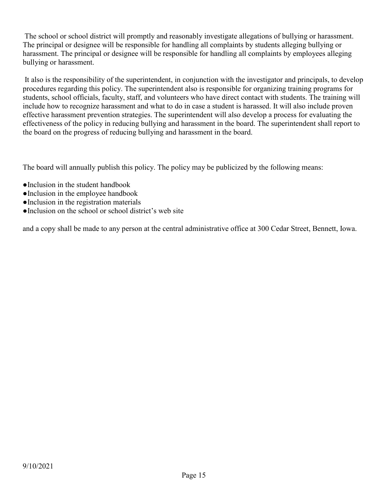The school or school district will promptly and reasonably investigate allegations of bullying or harassment. The principal or designee will be responsible for handling all complaints by students alleging bullying or harassment. The principal or designee will be responsible for handling all complaints by employees alleging bullying or harassment.

It also is the responsibility of the superintendent, in conjunction with the investigator and principals, to develop procedures regarding this policy. The superintendent also is responsible for organizing training programs for students, school officials, faculty, staff, and volunteers who have direct contact with students. The training will include how to recognize harassment and what to do in case a student is harassed. It will also include proven effective harassment prevention strategies. The superintendent will also develop a process for evaluating the effectiveness of the policy in reducing bullying and harassment in the board. The superintendent shall report to the board on the progress of reducing bullying and harassment in the board.

The board will annually publish this policy. The policy may be publicized by the following means:

- ●Inclusion in the student handbook
- ●Inclusion in the employee handbook
- ●Inclusion in the registration materials
- ●Inclusion on the school or school district's web site

and a copy shall be made to any person at the central administrative office at 300 Cedar Street, Bennett, Iowa.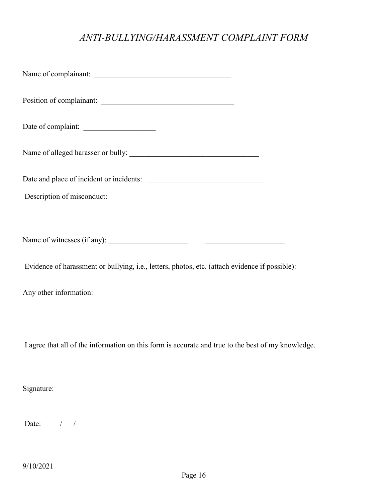# *ANTI-BULLYING/HARASSMENT COMPLAINT FORM*

| Date of complaint:                                                                                 |
|----------------------------------------------------------------------------------------------------|
|                                                                                                    |
|                                                                                                    |
| Description of misconduct:                                                                         |
|                                                                                                    |
|                                                                                                    |
| Evidence of harassment or bullying, i.e., letters, photos, etc. (attach evidence if possible):     |
| Any other information:                                                                             |
|                                                                                                    |
| I agree that all of the information on this form is accurate and true to the best of my knowledge. |
| Signature:                                                                                         |

Date: / /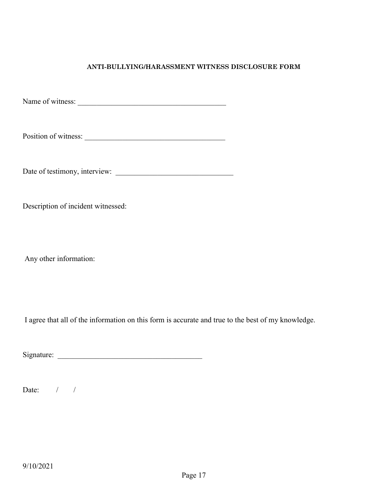# **ANTI-BULLYING/HARASSMENT WITNESS DISCLOSURE FORM**

Name of witness: \_\_\_\_\_\_\_\_\_\_\_\_\_\_\_\_\_\_\_\_\_\_\_\_\_\_\_\_\_\_\_\_\_\_\_\_\_\_\_

Position of witness: \_\_\_\_\_\_\_\_\_\_\_\_\_\_\_\_\_\_\_\_\_\_\_\_\_\_\_\_\_\_\_\_\_\_\_\_\_

Date of testimony, interview: \_\_\_\_\_\_\_\_\_\_\_\_\_\_\_\_\_\_\_\_\_\_\_\_\_\_\_\_\_\_\_

Description of incident witnessed:

Any other information:

I agree that all of the information on this form is accurate and true to the best of my knowledge.

 $Signature:$ 

Date:  $/ / /$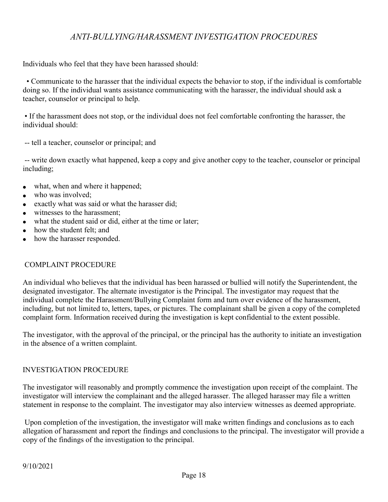# *ANTI-BULLYING/HARASSMENT INVESTIGATION PROCEDURES*

Individuals who feel that they have been harassed should:

 • Communicate to the harasser that the individual expects the behavior to stop, if the individual is comfortable doing so. If the individual wants assistance communicating with the harasser, the individual should ask a teacher, counselor or principal to help.

• If the harassment does not stop, or the individual does not feel comfortable confronting the harasser, the individual should:

-- tell a teacher, counselor or principal; and

-- write down exactly what happened, keep a copy and give another copy to the teacher, counselor or principal including;

- what, when and where it happened;
- who was involved;
- exactly what was said or what the harasser did;
- witnesses to the harassment:
- what the student said or did, either at the time or later;
- how the student felt; and
- how the harasser responded.

# COMPLAINT PROCEDURE

An individual who believes that the individual has been harassed or bullied will notify the Superintendent, the designated investigator. The alternate investigator is the Principal. The investigator may request that the individual complete the Harassment/Bullying Complaint form and turn over evidence of the harassment, including, but not limited to, letters, tapes, or pictures. The complainant shall be given a copy of the completed complaint form. Information received during the investigation is kept confidential to the extent possible.

The investigator, with the approval of the principal, or the principal has the authority to initiate an investigation in the absence of a written complaint.

# INVESTIGATION PROCEDURE

The investigator will reasonably and promptly commence the investigation upon receipt of the complaint. The investigator will interview the complainant and the alleged harasser. The alleged harasser may file a written statement in response to the complaint. The investigator may also interview witnesses as deemed appropriate.

Upon completion of the investigation, the investigator will make written findings and conclusions as to each allegation of harassment and report the findings and conclusions to the principal. The investigator will provide a copy of the findings of the investigation to the principal.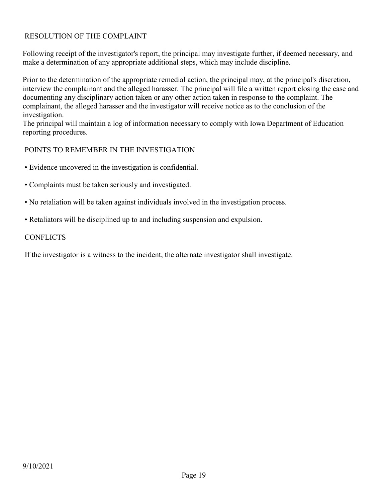# RESOLUTION OF THE COMPLAINT

Following receipt of the investigator's report, the principal may investigate further, if deemed necessary, and make a determination of any appropriate additional steps, which may include discipline.

Prior to the determination of the appropriate remedial action, the principal may, at the principal's discretion, interview the complainant and the alleged harasser. The principal will file a written report closing the case and documenting any disciplinary action taken or any other action taken in response to the complaint. The complainant, the alleged harasser and the investigator will receive notice as to the conclusion of the investigation.

The principal will maintain a log of information necessary to comply with Iowa Department of Education reporting procedures.

# POINTS TO REMEMBER IN THE INVESTIGATION

- Evidence uncovered in the investigation is confidential.
- Complaints must be taken seriously and investigated.
- No retaliation will be taken against individuals involved in the investigation process.
- Retaliators will be disciplined up to and including suspension and expulsion.

# **CONFLICTS**

If the investigator is a witness to the incident, the alternate investigator shall investigate.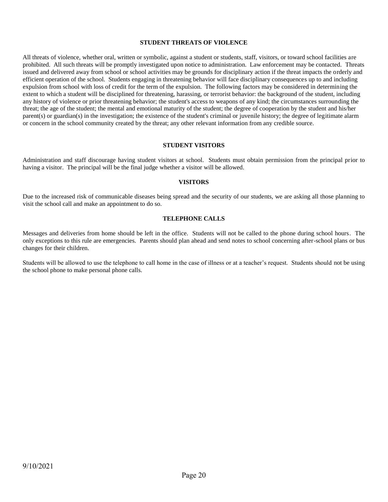# **STUDENT THREATS OF VIOLENCE**

All threats of violence, whether oral, written or symbolic, against a student or students, staff, visitors, or toward school facilities are prohibited. All such threats will be promptly investigated upon notice to administration. Law enforcement may be contacted. Threats issued and delivered away from school or school activities may be grounds for disciplinary action if the threat impacts the orderly and efficient operation of the school. Students engaging in threatening behavior will face disciplinary consequences up to and including expulsion from school with loss of credit for the term of the expulsion. The following factors may be considered in determining the extent to which a student will be disciplined for threatening, harassing, or terrorist behavior: the background of the student, including any history of violence or prior threatening behavior; the student's access to weapons of any kind; the circumstances surrounding the threat; the age of the student; the mental and emotional maturity of the student; the degree of cooperation by the student and his/her parent(s) or guardian(s) in the investigation; the existence of the student's criminal or juvenile history; the degree of legitimate alarm or concern in the school community created by the threat; any other relevant information from any credible source.

#### **STUDENT VISITORS**

Administration and staff discourage having student visitors at school. Students must obtain permission from the principal prior to having a visitor. The principal will be the final judge whether a visitor will be allowed.

# **VISITORS**

Due to the increased risk of communicable diseases being spread and the security of our students, we are asking all those planning to visit the school call and make an appointment to do so.

# **TELEPHONE CALLS**

Messages and deliveries from home should be left in the office. Students will not be called to the phone during school hours. The only exceptions to this rule are emergencies. Parents should plan ahead and send notes to school concerning after-school plans or bus changes for their children.

Students will be allowed to use the telephone to call home in the case of illness or at a teacher's request. Students should not be using the school phone to make personal phone calls.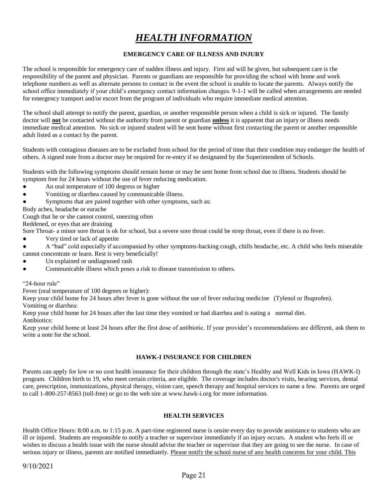# *HEALTH INFORMATION*

# **EMERGENCY CARE OF ILLNESS AND INJURY**

The school is responsible for emergency care of sudden illness and injury. First aid will be given, but subsequent care is the responsibility of the parent and physician. Parents or guardians are responsible for providing the school with home and work telephone numbers as well as alternate persons to contact in the event the school is unable to locate the parents. Always notify the school office immediately if your child's emergency contact information changes. 9-1-1 will be called when arrangements are needed for emergency transport and/or escort from the program of individuals who require immediate medical attention.

The school shall attempt to notify the parent, guardian, or another responsible person when a child is sick or injured. The family doctor will **not** be contacted without the authority from parent or guardian **unless** it is apparent that an injury or illness needs immediate medical attention. No sick or injured student will be sent home without first contacting the parent or another responsible adult listed as a contact by the parent.

Students with contagious diseases are to be excluded from school for the period of time that their condition may endanger the health of others. A signed note from a doctor may be required for re-entry if so designated by the Superintendent of Schools.

Students with the following symptoms should remain home or may be sent home from school due to illness. Students should be symptom free for 24 hours without the use of fever reducing medication.

- An oral temperature of 100 degress or higher
- Vomiting or diarrhea caused by communicable illness.
- Symptoms that are paired together with other symptoms, such as:

Body aches, headache or earache

Cough that he or she cannot control, sneezing often

Reddened, or eyes that are draining

Sore Throat- a minor sore throat is ok for school, but a severe sore throat could be strep throat, even if there is no fever.

• Very tired or lack of appetite

● A "bad" cold especially if accompanied by other symptoms-hacking cough, chills headache, etc. A child who feels miserable cannot concentrate or learn. Rest is very beneficially!

- Un explained or undiagnosed rash
- Communicable illness which poses a risk to disease transmission to others.

# "24-hour rule"

Fever (oral temperature of 100 degrees or higher):

Keep your child home for 24 hours after fever is gone without the use of fever reducing medicine (Tylenol or Ibuprofen). Vomiting or diarrhea:

Keep your child home for 24 hours after the last time they vomited or had diarrhea and is eating a normal diet. Antibiotics:

Keep your child home at least 24 hours after the first dose of antibiotic. If your provider's recommendations are different, ask them to write a note for the school.

# **HAWK-I INSURANCE FOR CHILDREN**

Parents can apply for low or no cost health insurance for their children through the state's Healthy and Well Kids in Iowa (HAWK-I) program. Children birth to 19, who meet certain criteria, are eligible. The coverage includes doctor's visits, hearing services, dental care, prescription, immunizations, physical therapy, vision care, speech therapy and hospital services to name a few. Parents are urged to call 1-800-257-8563 (toll-free) or go to the web sire at www.hawk-i.org for more information.

# **HEALTH SERVICES**

Health Office Hours: 8:00 a.m. to 1:15 p.m. A part-time registered nurse is onsite every day to provide assistance to students who are ill or injured. Students are responsible to notify a teacher or supervisor immediately if an injury occurs. A student who feels ill or wishes to discuss a health issue with the nurse should advise the teacher or supervisor that they are going to see the nurse. In case of serious injury or illness, parents are notified immediately. Please notify the school nurse of any health concerns for your child. This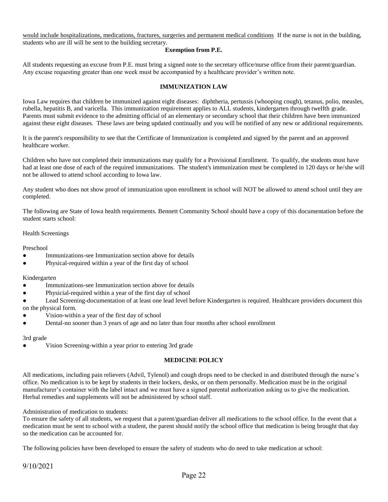would include hospitalizations, medications, fractures, surgeries and permanent medical conditions If the nurse is not in the building, students who are ill will be sent to the building secretary.

# **Exemption from P.E.**

All students requesting an excuse from P.E. must bring a signed note to the secretary office/nurse office from their parent/guardian. Any excuse requesting greater than one week must be accompanied by a healthcare provider's written note.

# **IMMUNIZATION LAW**

Iowa Law requires that children be immunized against eight diseases: diphtheria, pertussis (whooping cough), tetanus, polio, measles, rubella, hepatitis B, and varicella. This immunization requirement applies to ALL students, kindergarten through twelfth grade. Parents must submit evidence to the admitting official of an elementary or secondary school that their children have been immunized against these eight diseases. These laws are being updated continually and you will be notified of any new or additional requirements.

It is the parent's responsibility to see that the Certificate of Immunization is completed and signed by the parent and an approved healthcare worker.

Children who have not completed their immunizations may qualify for a Provisional Enrollment. To qualify, the students must have had at least one dose of each of the required immunizations. The student's immunization must be completed in 120 days or he/she will not be allowed to attend school according to Iowa law.

Any student who does not show proof of immunization upon enrollment in school will NOT be allowed to attend school until they are completed.

The following are State of Iowa health requirements. Bennett Community School should have a copy of this documentation before the student starts school:

# Health Screenings

Preschool

- Immunizations-see Immunization section above for details
- Physical-required within a year of the first day of school

# Kindergarten

- Immunizations-see Immunization section above for details
- Physicial-required within a year of the first day of school
- Lead Screening-documentation of at least one lead level before Kindergarten is required. Healthcare providers document this on the physical form.
- Vision-within a year of the first day of school
- Dental-no sooner than 3 years of age and no later than four months after school enrollment

# 3rd grade

Vision Screening-within a year prior to entering 3rd grade

# **MEDICINE POLICY**

All medications, including pain relievers (Advil, Tylenol) and cough drops need to be checked in and distributed through the nurse's office. No medication is to be kept by students in their lockers, desks, or on them personally. Medication must be in the original manufacturer's container with the label intact and we must have a signed parental authorization asking us to give the medication. Herbal remedies and supplements will not be administered by school staff.

Administration of medication to students:

To ensure the safety of all students, we request that a parent/guardian deliver all medications to the school office. In the event that a medication must be sent to school with a student, the parent should notify the school office that medication is being brought that day so the medication can be accounted for.

The following policies have been developed to ensure the safety of students who do need to take medication at school: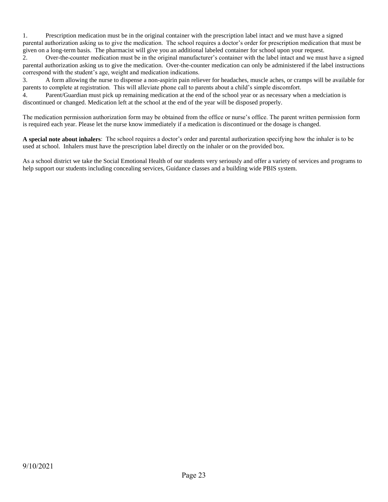1. Prescription medication must be in the original container with the prescription label intact and we must have a signed parental authorization asking us to give the medication. The school requires a doctor's order for prescription medication that must be given on a long-term basis. The pharmacist will give you an additional labeled container for school upon your request.

2. Over-the-counter medication must be in the original manufacturer's container with the label intact and we must have a signed parental authorization asking us to give the medication. Over-the-counter medication can only be administered if the label instructions correspond with the student's age, weight and medication indications.

3. A form allowing the nurse to dispense a non-aspirin pain reliever for headaches, muscle aches, or cramps will be available for parents to complete at registration. This will alleviate phone call to parents about a child's simple discomfort.

4. Parent/Guardian must pick up remaining medication at the end of the school year or as necessary when a medciation is discontinued or changed. Medication left at the school at the end of the year will be disposed properly.

The medication permission authorization form may be obtained from the office or nurse's office. The parent written permission form is required each year. Please let the nurse know immediately if a medication is discontinued or the dosage is changed.

**A special note about inhalers**: The school requires a doctor's order and parental authorization specifying how the inhaler is to be used at school. Inhalers must have the prescription label directly on the inhaler or on the provided box.

As a school district we take the Social Emotional Health of our students very seriously and offer a variety of services and programs to help support our students including concealing services, Guidance classes and a building wide PBIS system.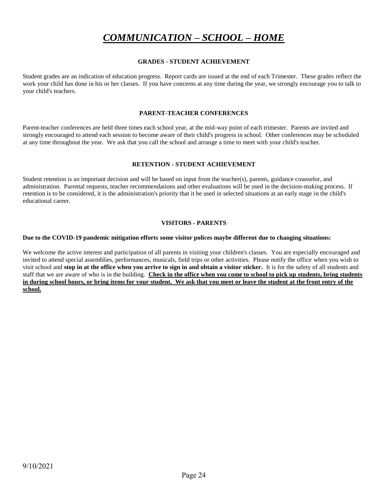# *COMMUNICATION – SCHOOL – HOME*

# **GRADES - STUDENT ACHIEVEMENT**

Student grades are an indication of education progress. Report cards are issued at the end of each Trimester. These grades reflect the work your child has done in his or her classes. If you have concerns at any time during the year, we strongly encourage you to talk to your child's teachers.

# **PARENT-TEACHER CONFERENCES**

Parent-teacher conferences are held three times each school year, at the mid-way point of each trimester. Parents are invited and strongly encouraged to attend each session to become aware of their child's progress in school. Other conferences may be scheduled at any time throughout the year. We ask that you call the school and arrange a time to meet with your child's teacher.

# **RETENTION - STUDENT ACHIEVEMENT**

Student retention is an important decision and will be based on input from the teacher(s), parents, guidance counselor, and administration. Parental requests, teacher recommendations and other evaluations will be used in the decision-making process. If retention is to be considered, it is the administration's priority that it be used in selected situations at an early stage in the child's educational career.

# **VISITORS - PARENTS**

# **Due to the COVID-19 pandemic mitigation efforts some visitor polices maybe different due to changing situations:**

We welcome the active interest and participation of all parents in visiting your children's classes. You are especially encouraged and invited to attend special assemblies, performances, musicals, field trips or other activities. Please notify the office when you wish to visit school and **stop in at the office when you arrive to sign in and obtain a visitor sticker.** It is for the safety of all students and staff that we are aware of who is in the building. **Check in the office when you come to school to pick up students, bring students in during school hours, or bring items for your student. We ask that you meet or leave the student at the front entry of the school.**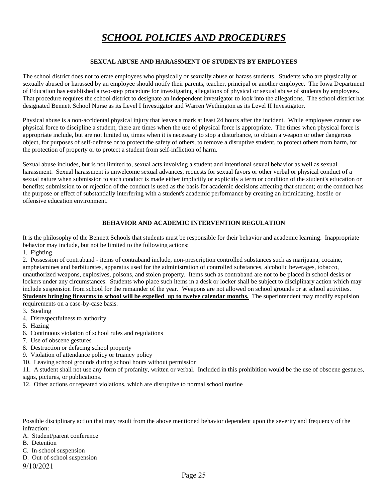# *SCHOOL POLICIES AND PROCEDURES*

# **SEXUAL ABUSE AND HARASSMENT OF STUDENTS BY EMPLOYEES**

The school district does not tolerate employees who physically or sexually abuse or harass students. Students who are physically or sexually abused or harassed by an employee should notify their parents, teacher, principal or another employee. The Iowa Department of Education has established a two-step procedure for investigating allegations of physical or sexual abuse of students by employees. That procedure requires the school district to designate an independent investigator to look into the allegations. The school district has designated Bennett School Nurse as its Level I Investigator and Warren Wethington as its Level II Investigator.

Physical abuse is a non-accidental physical injury that leaves a mark at least 24 hours after the incident. While employees cannot use physical force to discipline a student, there are times when the use of physical force is appropriate. The times when physical force is appropriate include, but are not limited to, times when it is necessary to stop a disturbance, to obtain a weapon or other dangerous object, for purposes of self-defense or to protect the safety of others, to remove a disruptive student, to protect others from harm, for the protection of property or to protect a student from self-infliction of harm.

Sexual abuse includes, but is not limited to, sexual acts involving a student and intentional sexual behavior as well as sexual harassment. Sexual harassment is unwelcome sexual advances, requests for sexual favors or other verbal or physical conduct of a sexual nature when submission to such conduct is made either implicitly or explicitly a term or condition of the student's education or benefits; submission to or rejection of the conduct is used as the basis for academic decisions affecting that student; or the conduct has the purpose or effect of substantially interfering with a student's academic performance by creating an intimidating, hostile or offensive education environment.

# **BEHAVIOR AND ACADEMIC INTERVENTION REGULATION**

It is the philosophy of the Bennett Schools that students must be responsible for their behavior and academic learning. Inappropriate behavior may include, but not be limited to the following actions:

1. Fighting

2. Possession of contraband - items of contraband include, non-prescription controlled substances such as marijuana, cocaine, amphetamines and barbiturates, apparatus used for the administration of controlled substances, alcoholic beverages, tobacco, unauthorized weapons, explosives, poisons, and stolen property. Items such as contraband are not to be placed in school desks or lockers under any circumstances. Students who place such items in a desk or locker shall be subject to disciplinary action which may include suspension from school for the remainder of the year. Weapons are not allowed on school grounds or at school activities. **Students bringing firearms to school will be expelled up to twelve calendar months.** The superintendent may modify expulsion

requirements on a case-by-case basis.

- 3. Stealing
- 4. Disrespectfulness to authority
- 5. Hazing
- 6. Continuous violation of school rules and regulations
- 7. Use of obscene gestures
- 8. Destruction or defacing school property
- 9. Violation of attendance policy or truancy policy
- 10. Leaving school grounds during school hours without permission

11. A student shall not use any form of profanity, written or verbal. Included in this prohibition would be the use of obscene gestures, signs, pictures, or publications.

12. Other actions or repeated violations, which are disruptive to normal school routine

Possible disciplinary action that may result from the above mentioned behavior dependent upon the severity and frequency of the infraction:

- A. Student/parent conference
- B. Detention
- C. In-school suspension
- D. Out-of-school suspension

9/10/2021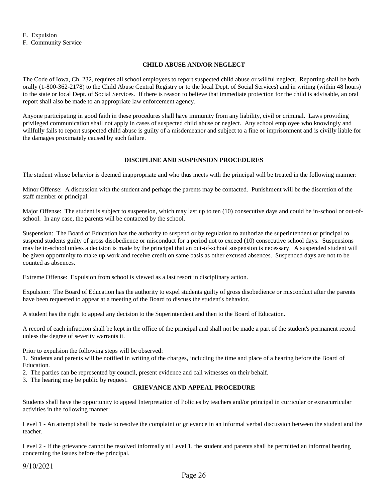E. Expulsion F. Community Service

# **CHILD ABUSE AND/OR NEGLECT**

The Code of Iowa, Ch. 232, requires all school employees to report suspected child abuse or willful neglect. Reporting shall be both orally (1-800-362-2178) to the Child Abuse Central Registry or to the local Dept. of Social Services) and in writing (within 48 hours) to the state or local Dept. of Social Services. If there is reason to believe that immediate protection for the child is advisable, an oral report shall also be made to an appropriate law enforcement agency.

Anyone participating in good faith in these procedures shall have immunity from any liability, civil or criminal. Laws providing privileged communication shall not apply in cases of suspected child abuse or neglect. Any school employee who knowingly and willfully fails to report suspected child abuse is guilty of a misdemeanor and subject to a fine or imprisonment and is civilly liable for the damages proximately caused by such failure.

# **DISCIPLINE AND SUSPENSION PROCEDURES**

The student whose behavior is deemed inappropriate and who thus meets with the principal will be treated in the following manner:

Minor Offense: A discussion with the student and perhaps the parents may be contacted. Punishment will be the discretion of the staff member or principal.

Major Offense: The student is subject to suspension, which may last up to ten (10) consecutive days and could be in-school or out-ofschool. In any case, the parents will be contacted by the school.

Suspension: The Board of Education has the authority to suspend or by regulation to authorize the superintendent or principal to suspend students guilty of gross disobedience or misconduct for a period not to exceed (10) consecutive school days. Suspensions may be in-school unless a decision is made by the principal that an out-of-school suspension is necessary. A suspended student will be given opportunity to make up work and receive credit on same basis as other excused absences. Suspended days are not to be counted as absences.

Extreme Offense: Expulsion from school is viewed as a last resort in disciplinary action.

Expulsion: The Board of Education has the authority to expel students guilty of gross disobedience or misconduct after the parents have been requested to appear at a meeting of the Board to discuss the student's behavior.

A student has the right to appeal any decision to the Superintendent and then to the Board of Education.

A record of each infraction shall be kept in the office of the principal and shall not be made a part of the student's permanent record unless the degree of severity warrants it.

Prior to expulsion the following steps will be observed:

1. Students and parents will be notified in writing of the charges, including the time and place of a hearing before the Board of Education.

2. The parties can be represented by council, present evidence and call witnesses on their behalf.

3. The hearing may be public by request.

# **GRIEVANCE AND APPEAL PROCEDURE**

Students shall have the opportunity to appeal Interpretation of Policies by teachers and/or principal in curricular or extracurricular activities in the following manner:

Level 1 - An attempt shall be made to resolve the complaint or grievance in an informal verbal discussion between the student and the teacher.

Level 2 - If the grievance cannot be resolved informally at Level 1, the student and parents shall be permitted an informal hearing concerning the issues before the principal.

9/10/2021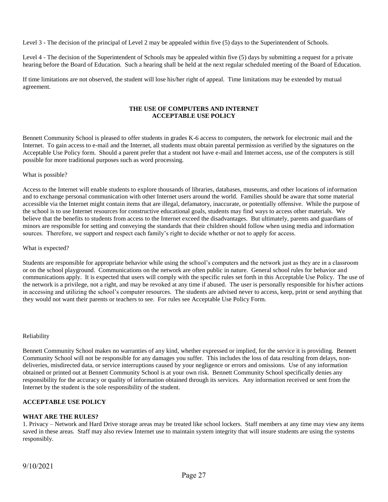Level 3 - The decision of the principal of Level 2 may be appealed within five (5) days to the Superintendent of Schools.

Level 4 - The decision of the Superintendent of Schools may be appealed within five (5) days by submitting a request for a private hearing before the Board of Education. Such a hearing shall be held at the next regular scheduled meeting of the Board of Education.

If time limitations are not observed, the student will lose his/her right of appeal. Time limitations may be extended by mutual agreement.

# **THE USE OF COMPUTERS AND INTERNET ACCEPTABLE USE POLICY**

Bennett Community School is pleased to offer students in grades K-6 access to computers, the network for electronic mail and the Internet. To gain access to e-mail and the Internet, all students must obtain parental permission as verified by the signatures on the Acceptable Use Policy form. Should a parent prefer that a student not have e-mail and Internet access, use of the computers is still possible for more traditional purposes such as word processing.

# What is possible?

Access to the Internet will enable students to explore thousands of libraries, databases, museums, and other locations of information and to exchange personal communication with other Internet users around the world. Families should be aware that some material accessible via the Internet might contain items that are illegal, defamatory, inaccurate, or potentially offensive. While the purpose of the school is to use Internet resources for constructive educational goals, students may find ways to access other materials. We believe that the benefits to students from access to the Internet exceed the disadvantages. But ultimately, parents and guardians of minors are responsible for setting and conveying the standards that their children should follow when using media and information sources. Therefore, we support and respect each family's right to decide whether or not to apply for access.

# What is expected?

Students are responsible for appropriate behavior while using the school's computers and the network just as they are in a classroom or on the school playground. Communications on the network are often public in nature. General school rules for behavior and communications apply. It is expected that users will comply with the specific rules set forth in this Acceptable Use Policy. The use of the network is a privilege, not a right, and may be revoked at any time if abused. The user is personally responsible for his/her actions in accessing and utilizing the school's computer resources. The students are advised never to access, keep, print or send anything that they would not want their parents or teachers to see. For rules see Acceptable Use Policy Form.

# Reliability

Bennett Community School makes no warranties of any kind, whether expressed or implied, for the service it is providing. Bennett Community School will not be responsible for any damages you suffer. This includes the loss of data resulting from delays, nondeliveries, misdirected data, or service interruptions caused by your negligence or errors and omissions. Use of any information obtained or printed out at Bennett Community School is at your own risk. Bennett Community School specifically denies any responsibility for the accuracy or quality of information obtained through its services. Any information received or sent from the Internet by the student is the sole responsibility of the student.

# **ACCEPTABLE USE POLICY**

# **WHAT ARE THE RULES?**

1. Privacy – Network and Hard Drive storage areas may be treated like school lockers. Staff members at any time may view any items saved in these areas. Staff may also review Internet use to maintain system integrity that will insure students are using the systems responsibly.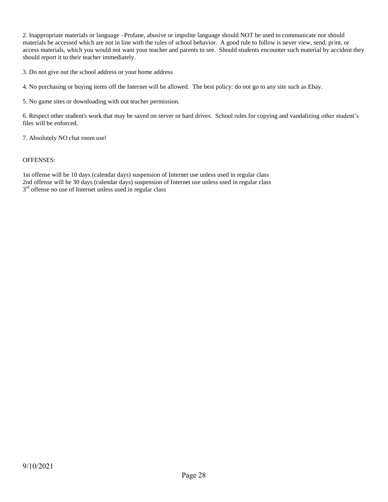2. Inappropriate materials or language –Profane, abusive or impolite language should NOT be used to communicate nor should materials be accessed which are not in line with the rules of school behavior. A good rule to follow is never view, send, print, or access materials, which you would not want your teacher and parents to see. Should students encounter such material by accident they should report it to their teacher immediately.

3. Do not give out the school address or your home address

4. No purchasing or buying items off the Internet will be allowed. The best policy: do not go to any site such as Ebay.

5. No game sites or downloading with out teacher permission.

6. Respect other student's work that may be saved on server or hard drives. School rules for copying and vandalizing other student's files will be enforced.

7. Absolutely NO chat room use!

# OFFENSES:

1st offense will be 10 days (calendar days) suspension of Internet use unless used in regular class 2nd offense will be 30 days (calendar days) suspension of Internet use unless used in regular class 3<sup>rd</sup> offense no use of Internet unless used in regular class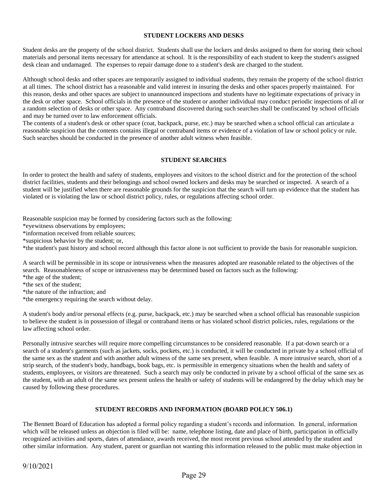# **STUDENT LOCKERS AND DESKS**

Student desks are the property of the school district. Students shall use the lockers and desks assigned to them for storing their school materials and personal items necessary for attendance at school. It is the responsibility of each student to keep the student's assigned desk clean and undamaged. The expenses to repair damage done to a student's desk are charged to the student.

Although school desks and other spaces are temporarily assigned to individual students, they remain the property of the school district at all times. The school district has a reasonable and valid interest in insuring the desks and other spaces properly maintained. For this reason, desks and other spaces are subject to unannounced inspections and students have no legitimate expectations of privacy in the desk or other space. School officials in the presence of the student or another individual may conduct periodic inspections of all or a random selection of desks or other space. Any contraband discovered during such searches shall be confiscated by school officials and may be turned over to law enforcement officials.

The contents of a student's desk or other space (coat, backpack, purse, etc.) may be searched when a school official can articulate a reasonable suspicion that the contents contains illegal or contraband items or evidence of a violation of law or school policy or rule. Such searches should be conducted in the presence of another adult witness when feasible.

# **STUDENT SEARCHES**

In order to protect the health and safety of students, employees and visitors to the school district and for the protection of the school district facilities, students and their belongings and school owned lockers and desks may be searched or inspected. A search of a student will be justified when there are reasonable grounds for the suspicion that the search will turn up evidence that the student has violated or is violating the law or school district policy, rules, or regulations affecting school order.

Reasonable suspicion may be formed by considering factors such as the following:

\*eyewitness observations by employees;

\*information received from reliable sources;

\*suspicious behavior by the student; or,

\*the student's past history and school record although this factor alone is not sufficient to provide the basis for reasonable suspicion.

A search will be permissible in its scope or intrusiveness when the measures adopted are reasonable related to the objectives of the search. Reasonableness of scope or intrusiveness may be determined based on factors such as the following:

\*the age of the student;

\*the sex of the student;

\*the nature of the infraction; and

\*the emergency requiring the search without delay.

A student's body and/or personal effects (e.g. purse, backpack, etc.) may be searched when a school official has reasonable suspicion to believe the student is in possession of illegal or contraband items or has violated school district policies, rules, regulations or the law affecting school order.

Personally intrusive searches will require more compelling circumstances to be considered reasonable. If a pat-down search or a search of a student's garments (such as jackets, socks, pockets, etc.) is conducted, it will be conducted in private by a school official of the same sex as the student and with another adult witness of the same sex present, when feasible. A more intrusive search, short of a strip search, of the student's body, handbags, book bags, etc. is permissible in emergency situations when the health and safety of students, employees, or visitors are threatened. Such a search may only be conducted in private by a school official of the same sex as the student, with an adult of the same sex present unless the health or safety of students will be endangered by the delay which may be caused by following these procedures.

# **STUDENT RECORDS AND INFORMATION (BOARD POLICY 506.1)**

The Bennett Board of Education has adopted a formal policy regarding a student's records and information. In general, information which will be released unless an objection is filed will be: name, telephone listing, date and place of birth, participation in officially recognized activities and sports, dates of attendance, awards received, the most recent previous school attended by the student and other similar information. Any student, parent or guardian not wanting this information released to the public must make objection in